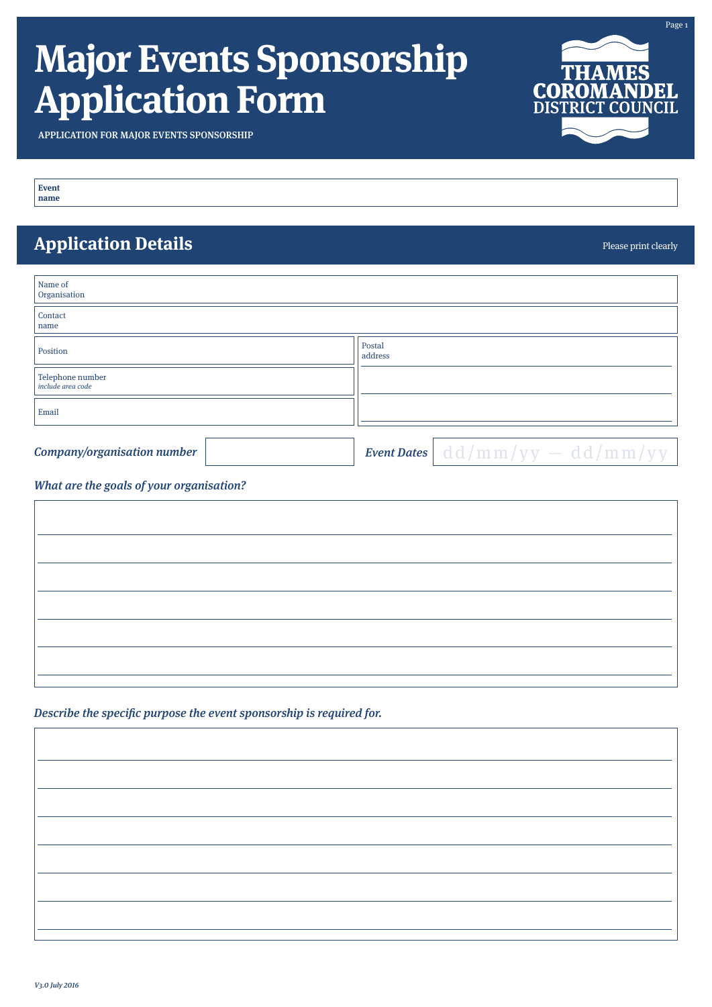# **Major Events Sponsorship Application Form**



Please print clearly

APPLICATION FOR MAJOR EVENTS SPONSORSHIP

**Event name**

### **Application Details**

| Name of<br>Organisation                      |                   |
|----------------------------------------------|-------------------|
| Contact<br>name                              |                   |
| Position                                     | Postal<br>address |
| Telephone number<br><i>include area code</i> |                   |
| Email                                        |                   |
|                                              |                   |

Company/organisation number

**Event Dates** dd / m m / y y - dd / m m / y y

### What are the goals of your organisation?

Describe the specific purpose the event sponsorship is required for.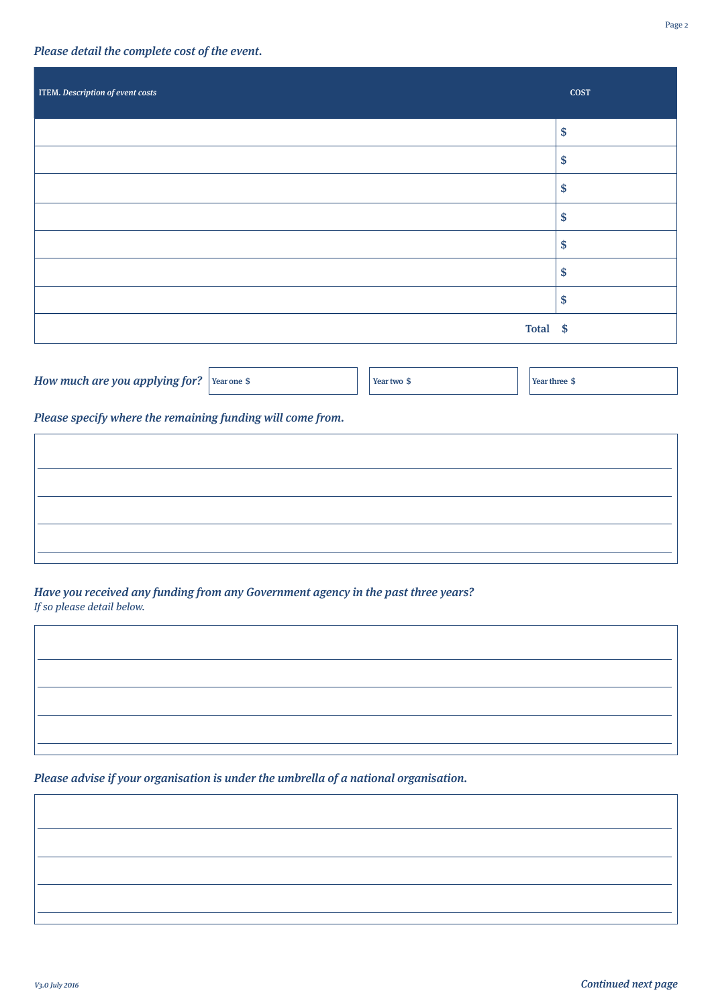#### Please detail the complete cost of the event.

| <b>ITEM.</b> Description of event costs | <b>COST</b>        |
|-----------------------------------------|--------------------|
|                                         | \$                 |
|                                         | \$                 |
|                                         | \$                 |
|                                         | $\mathbf{\hat{s}}$ |
|                                         | \$                 |
|                                         | \$                 |
|                                         | \$                 |
| Total \$                                |                    |

| How much are you applying for? $\,$ Year one $\,$ S $\,$ |  | Year two \$ | Year three \$ |
|----------------------------------------------------------|--|-------------|---------------|
|                                                          |  |             |               |

Please specify where the remaining funding will come from.

Have you received any funding from any Government agency in the past three years? If so please detail below.

Please advise if your organisation is under the umbrella of a national organisation.